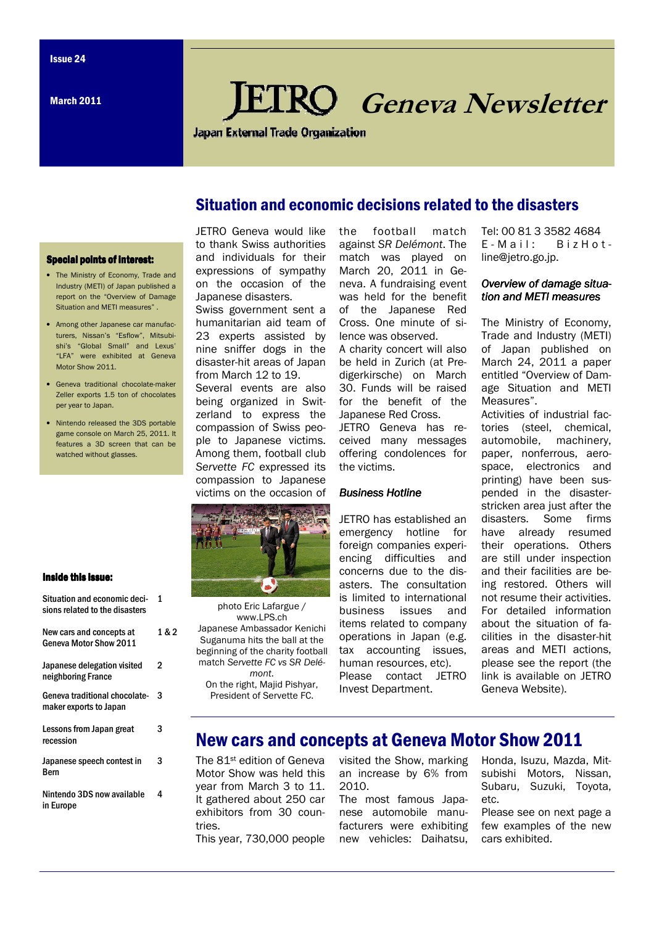March 2011

# Geneva Newsletter

**Japan External Trade Organization** 

## Situation and economic decisions related to the disasters

### **Special points of interest:**

- The Ministry of Economy, Trade and Industry (METI) of Japan published a report on the "Overview of Damage Situation and METI measures" .
- Among other Japanese car manufacturers, Nissan's "Esflow", Mitsubishi's "Global Small" and Lexus' "LFA" were exhibited at Geneva Motor Show 2011.
- Geneva traditional chocolate-maker Zeller exports 1.5 ton of chocolates per year to Japan.
- Nintendo released the 3DS portable game console on March 25, 2011. It features a 3D screen that can be watched without glasses.

#### JETRO Geneva would like to thank Swiss authorities and individuals for their expressions of sympathy on the occasion of the Japanese disasters.

Swiss government sent a humanitarian aid team of 23 experts assisted by nine sniffer dogs in the disaster-hit areas of Japan from March 12 to 19.

Several events are also being organized in Switzerland to express the compassion of Swiss people to Japanese victims. Among them, football club Servette FC expressed its compassion to Japanese victims on the occasion of



photo Eric Lafargue / www.LPS.ch Japanese Ambassador Kenichi Suganuma hits the ball at the beginning of the charity football match Servette FC vs SR Delémont.

On the right, Majid Pishyar, President of Servette FC.

the football match against SR Delémont. The match was played on March 20, 2011 in Geneva. A fundraising event was held for the benefit of the Japanese Red Cross. One minute of silence was observed.

A charity concert will also be held in Zurich (at Predigerkirsche) on March 30. Funds will be raised for the benefit of the Japanese Red Cross. JETRO Geneva has received many messages offering condolences for the victims.

#### Business Hotline

JETRO has established an emergency hotline for foreign companies experiencing difficulties and concerns due to the disasters. The consultation is limited to international business issues and items related to company operations in Japan (e.g. tax accounting issues, human resources, etc). Please contact JETRO Invest Department.

Tel: 00 81 3 3582 4684  $E - M$  a i  $l$  : B i z H o t line@jetro.go.jp.

#### Overview of damage situation and METI measures

The Ministry of Economy, Trade and Industry (METI) of Japan published on March 24, 2011 a paper entitled "Overview of Damage Situation and METI Measures".

Activities of industrial factories (steel, chemical, automobile, machinery, paper, nonferrous, aerospace, electronics and printing) have been suspended in the disasterstricken area just after the disasters. Some firms have already resumed their operations. Others are still under inspection and their facilities are being restored. Others will not resume their activities. For detailed information about the situation of facilities in the disaster-hit areas and METI actions, please see the report (the link is available on JETRO Geneva Website).

## New cars and concepts at Geneva Motor Show 2011

The 81st edition of Geneva Motor Show was held this year from March 3 to 11. It gathered about 250 car exhibitors from 30 countries. This year, 730,000 people

visited the Show, marking an increase by 6% from 2010.

The most famous Japanese automobile manufacturers were exhibiting new vehicles: Daihatsu,

Honda, Isuzu, Mazda, Mitsubishi Motors, Nissan, Subaru, Suzuki, Toyota, etc.

Please see on next page a few examples of the new cars exhibited.

## Inside this issue:

| Situation and economic deci-<br>sions related to the disasters | 1     |
|----------------------------------------------------------------|-------|
| New cars and concepts at<br>Geneva Motor Show 2011             | 1 & 2 |
| Japanese delegation visited<br>neighboring France              | 2     |
| Geneva traditional chocolate-<br>maker exports to Japan        | 3     |
| Lessons from Japan great<br>recession                          | 3     |
| Japanese speech contest in<br>Bern                             | 3     |
| Nintendo 3DS now available<br>in Europe                        | 4     |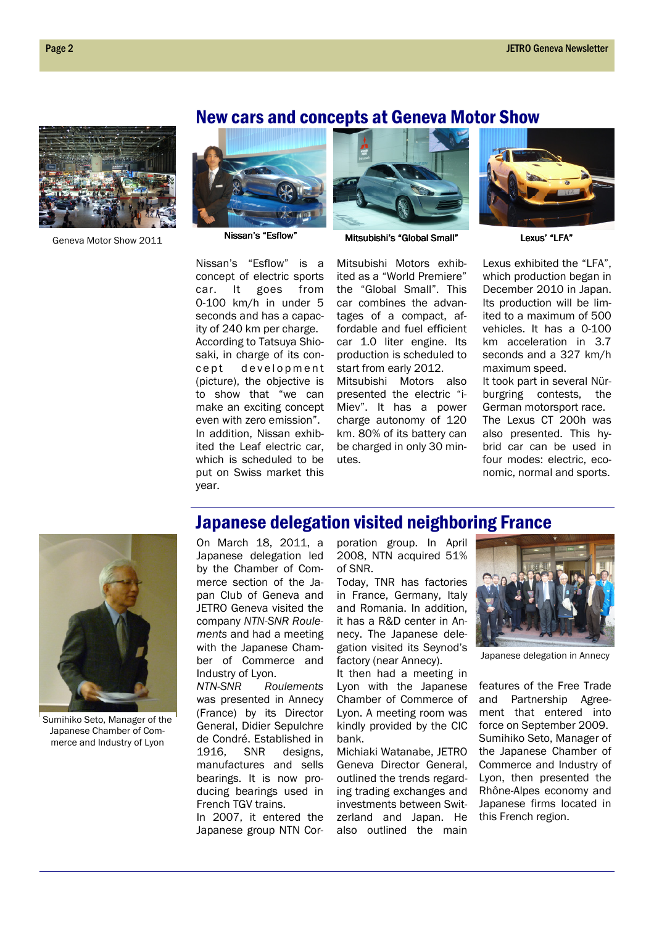# New cars and concepts at Geneva Motor Show



Geneva Motor Show 2011





Nissan's "Esflow" Mitsubishi's "Global Small" Lexus' "LFA"

Nissan's "Esflow" is a concept of electric sports car. It goes from 0-100 km/h in under 5 seconds and has a capacity of 240 km per charge. According to Tatsuya Shiosaki, in charge of its conc e pt de velopment (picture), the objective is to show that "we can make an exciting concept even with zero emission". In addition, Nissan exhibited the Leaf electric car, which is scheduled to be put on Swiss market this year.

Mitsubishi Motors exhibited as a "World Premiere" the "Global Small". This car combines the advantages of a compact, affordable and fuel efficient car 1.0 liter engine. Its production is scheduled to start from early 2012. Mitsubishi Motors also presented the electric "i-Miev". It has a power charge autonomy of 120 km. 80% of its battery can be charged in only 30 minutes.



Lexus exhibited the "LFA", which production began in December 2010 in Japan. Its production will be limited to a maximum of 500 vehicles. It has a 0-100 km acceleration in 3.7 seconds and a 327 km/h maximum speed. It took part in several Nürburgring contests, the German motorsport race. The Lexus CT 200h was also presented. This hybrid car can be used in four modes: electric, economic, normal and sports.



Sumihiko Seto, Manager of the Japanese Chamber of Commerce and Industry of Lyon

## Japanese delegation visited neighboring France

On March 18, 2011, a Japanese delegation led by the Chamber of Commerce section of the Japan Club of Geneva and JETRO Geneva visited the company NTN-SNR Roulements and had a meeting with the Japanese Chamber of Commerce and Industry of Lyon.

NTN-SNR Roulements was presented in Annecy (France) by its Director General, Didier Sepulchre de Condré. Established in 1916, SNR designs, manufactures and sells bearings. It is now producing bearings used in French TGV trains.

In 2007, it entered the Japanese group NTN Corporation group. In April 2008, NTN acquired 51% of SNR.

Today, TNR has factories in France, Germany, Italy and Romania. In addition, it has a R&D center in Annecy. The Japanese delegation visited its Seynod's factory (near Annecy).

It then had a meeting in Lyon with the Japanese Chamber of Commerce of Lyon. A meeting room was kindly provided by the CIC bank.

Michiaki Watanabe, JETRO Geneva Director General, outlined the trends regarding trading exchanges and investments between Switzerland and Japan. He also outlined the main



Japanese delegation in Annecy

features of the Free Trade and Partnership Agreement that entered into force on September 2009. Sumihiko Seto, Manager of the Japanese Chamber of Commerce and Industry of Lyon, then presented the Rhône-Alpes economy and Japanese firms located in this French region.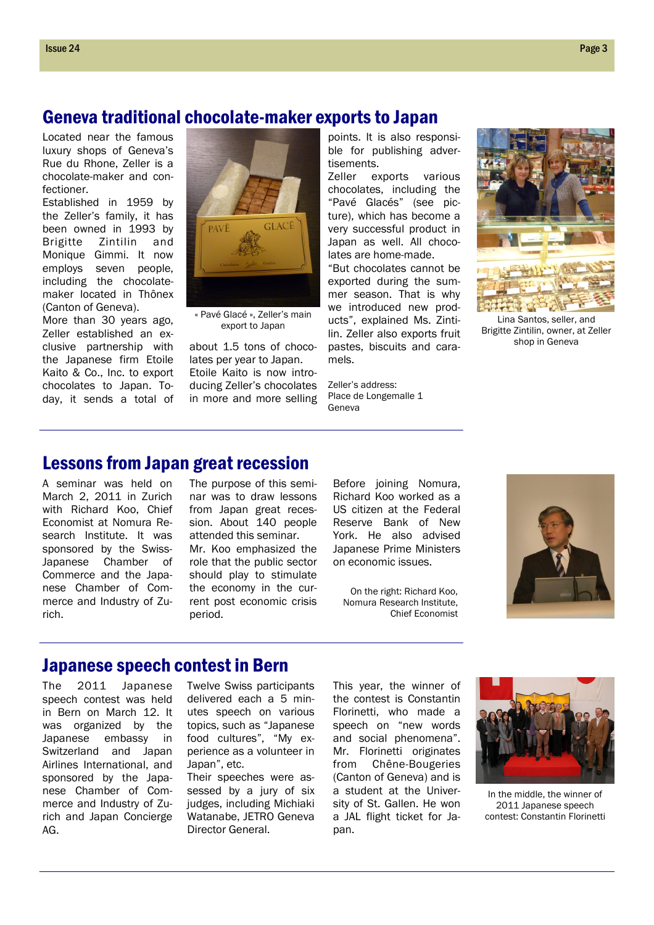## Geneva traditional chocolate-maker exports to Japan

Located near the famous luxury shops of Geneva's Rue du Rhone, Zeller is a chocolate-maker and confectioner.

Established in 1959 by the Zeller's family, it has been owned in 1993 by Brigitte Zintilin and Monique Gimmi. It now employs seven people, including the chocolatemaker located in Thônex (Canton of Geneva).

More than 30 years ago, Zeller established an exclusive partnership with the Japanese firm Etoile Kaito & Co., Inc. to export chocolates to Japan. Today, it sends a total of



« Pavé Glacé », Zeller's main export to Japan

about 1.5 tons of chocolates per year to Japan. Etoile Kaito is now introducing Zeller's chocolates in more and more selling

points. It is also responsible for publishing advertisements.

Zeller exports various chocolates, including the "Pavé Glacés" (see picture), which has become a very successful product in Japan as well. All chocolates are home-made.

"But chocolates cannot be exported during the summer season. That is why we introduced new products", explained Ms. Zintilin. Zeller also exports fruit pastes, biscuits and caramels.

Zeller's address: Place de Longemalle 1 Geneva



Lina Santos, seller, and Brigitte Zintilin, owner, at Zeller shop in Geneva

# Lessons from Japan great recession

A seminar was held on March 2, 2011 in Zurich with Richard Koo, Chief Economist at Nomura Research Institute. It was sponsored by the Swiss-Japanese Chamber of Commerce and the Japanese Chamber of Commerce and Industry of Zurich.

The purpose of this seminar was to draw lessons from Japan great recession. About 140 people attended this seminar.

Mr. Koo emphasized the role that the public sector should play to stimulate the economy in the current post economic crisis period.

Before joining Nomura, Richard Koo worked as a US citizen at the Federal Reserve Bank of New York. He also advised Japanese Prime Ministers on economic issues.

On the right: Richard Koo, Nomura Research Institute, Chief Economist



## Japanese speech contest in Bern

The 2011 Japanese speech contest was held in Bern on March 12. It was organized by the Japanese embassy in Switzerland and Japan Airlines International, and sponsored by the Japanese Chamber of Commerce and Industry of Zurich and Japan Concierge AG.

Twelve Swiss participants delivered each a 5 minutes speech on various topics, such as "Japanese food cultures", "My experience as a volunteer in Japan", etc.

Their speeches were assessed by a jury of six judges, including Michiaki Watanabe, JETRO Geneva Director General.

This year, the winner of the contest is Constantin Florinetti, who made a speech on "new words and social phenomena". Mr. Florinetti originates from Chêne-Bougeries (Canton of Geneva) and is a student at the University of St. Gallen. He won a JAL flight ticket for Japan.



In the middle, the winner of 2011 Japanese speech contest: Constantin Florinetti